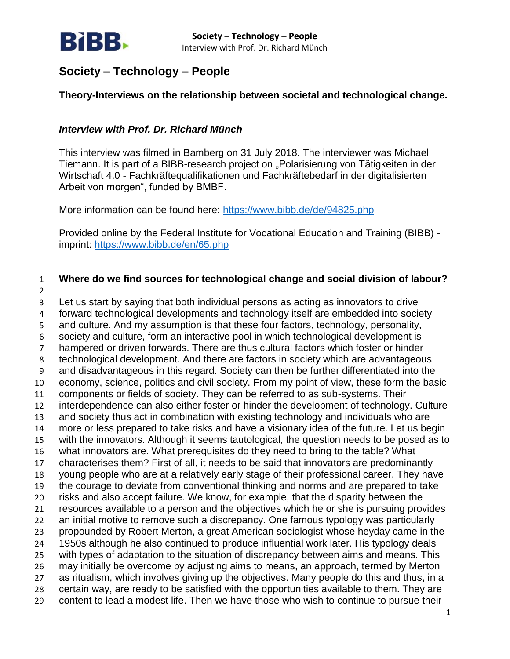

# **Theory-Interviews on the relationship between societal and technological change.**

# *Interview with Prof. Dr. Richard Münch*

This interview was filmed in Bamberg on 31 July 2018. The interviewer was Michael Tiemann. It is part of a BIBB-research project on "Polarisierung von Tätigkeiten in der Wirtschaft 4.0 - Fachkräftequalifikationen und Fachkräftebedarf in der digitalisierten Arbeit von morgen", funded by BMBF.

More information can be found here:<https://www.bibb.de/de/94825.php>

Provided online by the Federal Institute for Vocational Education and Training (BIBB) imprint:<https://www.bibb.de/en/65.php>

 **Where do we find sources for technological change and social division of labour?** Let us start by saying that both individual persons as acting as innovators to drive forward technological developments and technology itself are embedded into society and culture. And my assumption is that these four factors, technology, personality, society and culture, form an interactive pool in which technological development is hampered or driven forwards. There are thus cultural factors which foster or hinder technological development. And there are factors in society which are advantageous

 and disadvantageous in this regard. Society can then be further differentiated into the economy, science, politics and civil society. From my point of view, these form the basic

 components or fields of society. They can be referred to as sub-systems. Their interdependence can also either foster or hinder the development of technology. Culture

and society thus act in combination with existing technology and individuals who are

more or less prepared to take risks and have a visionary idea of the future. Let us begin

with the innovators. Although it seems tautological, the question needs to be posed as to

what innovators are. What prerequisites do they need to bring to the table? What

characterises them? First of all, it needs to be said that innovators are predominantly

 young people who are at a relatively early stage of their professional career. They have the courage to deviate from conventional thinking and norms and are prepared to take

risks and also accept failure. We know, for example, that the disparity between the

resources available to a person and the objectives which he or she is pursuing provides

an initial motive to remove such a discrepancy. One famous typology was particularly

propounded by Robert Merton, a great American sociologist whose heyday came in the

 1950s although he also continued to produce influential work later. His typology deals with types of adaptation to the situation of discrepancy between aims and means. This

may initially be overcome by adjusting aims to means, an approach, termed by Merton

- as ritualism, which involves giving up the objectives. Many people do this and thus, in a
- certain way, are ready to be satisfied with the opportunities available to them. They are
- content to lead a modest life. Then we have those who wish to continue to pursue their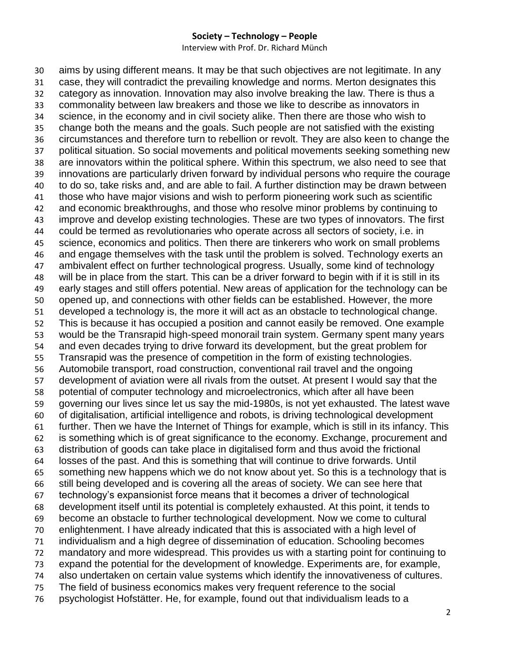Interview with Prof. Dr. Richard Münch

 aims by using different means. It may be that such objectives are not legitimate. In any case, they will contradict the prevailing knowledge and norms. Merton designates this category as innovation. Innovation may also involve breaking the law. There is thus a commonality between law breakers and those we like to describe as innovators in science, in the economy and in civil society alike. Then there are those who wish to change both the means and the goals. Such people are not satisfied with the existing circumstances and therefore turn to rebellion or revolt. They are also keen to change the political situation. So social movements and political movements seeking something new are innovators within the political sphere. Within this spectrum, we also need to see that innovations are particularly driven forward by individual persons who require the courage to do so, take risks and, and are able to fail. A further distinction may be drawn between those who have major visions and wish to perform pioneering work such as scientific and economic breakthroughs, and those who resolve minor problems by continuing to improve and develop existing technologies. These are two types of innovators. The first could be termed as revolutionaries who operate across all sectors of society, i.e. in 45 science, economics and politics. Then there are tinkerers who work on small problems and engage themselves with the task until the problem is solved. Technology exerts an ambivalent effect on further technological progress. Usually, some kind of technology will be in place from the start. This can be a driver forward to begin with if it is still in its early stages and still offers potential. New areas of application for the technology can be opened up, and connections with other fields can be established. However, the more developed a technology is, the more it will act as an obstacle to technological change. This is because it has occupied a position and cannot easily be removed. One example would be the Transrapid high-speed monorail train system. Germany spent many years and even decades trying to drive forward its development, but the great problem for Transrapid was the presence of competition in the form of existing technologies. Automobile transport, road construction, conventional rail travel and the ongoing development of aviation were all rivals from the outset. At present I would say that the potential of computer technology and microelectronics, which after all have been governing our lives since let us say the mid-1980s, is not yet exhausted. The latest wave of digitalisation, artificial intelligence and robots, is driving technological development further. Then we have the Internet of Things for example, which is still in its infancy. This is something which is of great significance to the economy. Exchange, procurement and distribution of goods can take place in digitalised form and thus avoid the frictional losses of the past. And this is something that will continue to drive forwards. Until something new happens which we do not know about yet. So this is a technology that is still being developed and is covering all the areas of society. We can see here that technology's expansionist force means that it becomes a driver of technological development itself until its potential is completely exhausted. At this point, it tends to become an obstacle to further technological development. Now we come to cultural enlightenment. I have already indicated that this is associated with a high level of individualism and a high degree of dissemination of education. Schooling becomes mandatory and more widespread. This provides us with a starting point for continuing to expand the potential for the development of knowledge. Experiments are, for example, also undertaken on certain value systems which identify the innovativeness of cultures. The field of business economics makes very frequent reference to the social psychologist Hofstätter. He, for example, found out that individualism leads to a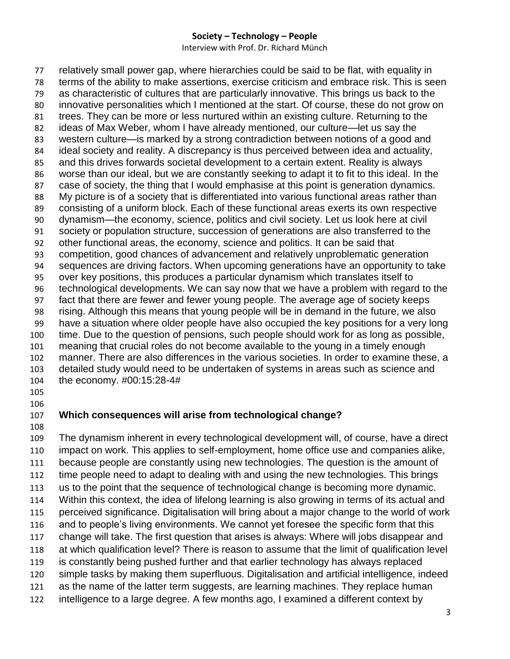Interview with Prof. Dr. Richard Münch

 relatively small power gap, where hierarchies could be said to be flat, with equality in terms of the ability to make assertions, exercise criticism and embrace risk. This is seen as characteristic of cultures that are particularly innovative. This brings us back to the innovative personalities which I mentioned at the start. Of course, these do not grow on trees. They can be more or less nurtured within an existing culture. Returning to the ideas of Max Weber, whom I have already mentioned, our culture—let us say the western culture—is marked by a strong contradiction between notions of a good and ideal society and reality. A discrepancy is thus perceived between idea and actuality, and this drives forwards societal development to a certain extent. Reality is always worse than our ideal, but we are constantly seeking to adapt it to fit to this ideal. In the case of society, the thing that I would emphasise at this point is generation dynamics. My picture is of a society that is differentiated into various functional areas rather than consisting of a uniform block. Each of these functional areas exerts its own respective dynamism—the economy, science, politics and civil society. Let us look here at civil society or population structure, succession of generations are also transferred to the other functional areas, the economy, science and politics. It can be said that competition, good chances of advancement and relatively unproblematic generation sequences are driving factors. When upcoming generations have an opportunity to take over key positions, this produces a particular dynamism which translates itself to technological developments. We can say now that we have a problem with regard to the fact that there are fewer and fewer young people. The average age of society keeps rising. Although this means that young people will be in demand in the future, we also have a situation where older people have also occupied the key positions for a very long time. Due to the question of pensions, such people should work for as long as possible, meaning that crucial roles do not become available to the young in a timely enough manner. There are also differences in the various societies. In order to examine these, a detailed study would need to be undertaken of systems in areas such as science and the economy. #00:15:28-4# 

# **Which consequences will arise from technological change?**

 The dynamism inherent in every technological development will, of course, have a direct impact on work. This applies to self-employment, home office use and companies alike, because people are constantly using new technologies. The question is the amount of time people need to adapt to dealing with and using the new technologies. This brings us to the point that the sequence of technological change is becoming more dynamic. Within this context, the idea of lifelong learning is also growing in terms of its actual and perceived significance. Digitalisation will bring about a major change to the world of work and to people's living environments. We cannot yet foresee the specific form that this change will take. The first question that arises is always: Where will jobs disappear and at which qualification level? There is reason to assume that the limit of qualification level is constantly being pushed further and that earlier technology has always replaced simple tasks by making them superfluous. Digitalisation and artificial intelligence, indeed as the name of the latter term suggests, are learning machines. They replace human intelligence to a large degree. A few months ago, I examined a different context by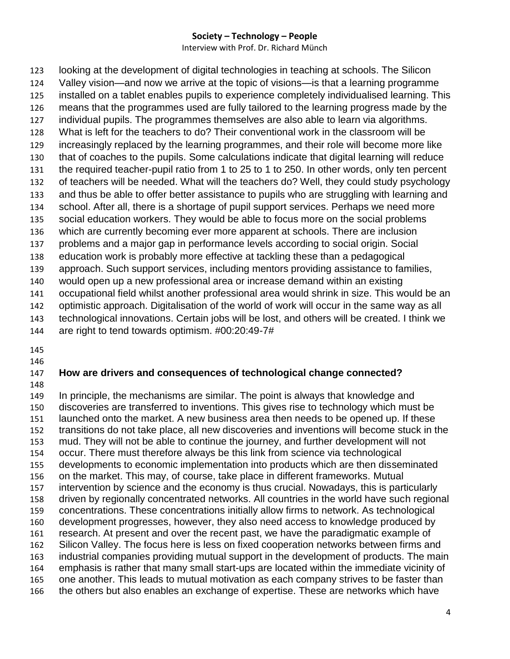Interview with Prof. Dr. Richard Münch

 looking at the development of digital technologies in teaching at schools. The Silicon Valley vision—and now we arrive at the topic of visions—is that a learning programme installed on a tablet enables pupils to experience completely individualised learning. This means that the programmes used are fully tailored to the learning progress made by the individual pupils. The programmes themselves are also able to learn via algorithms. What is left for the teachers to do? Their conventional work in the classroom will be increasingly replaced by the learning programmes, and their role will become more like that of coaches to the pupils. Some calculations indicate that digital learning will reduce the required teacher-pupil ratio from 1 to 25 to 1 to 250. In other words, only ten percent of teachers will be needed. What will the teachers do? Well, they could study psychology and thus be able to offer better assistance to pupils who are struggling with learning and school. After all, there is a shortage of pupil support services. Perhaps we need more social education workers. They would be able to focus more on the social problems which are currently becoming ever more apparent at schools. There are inclusion problems and a major gap in performance levels according to social origin. Social education work is probably more effective at tackling these than a pedagogical approach. Such support services, including mentors providing assistance to families, would open up a new professional area or increase demand within an existing occupational field whilst another professional area would shrink in size. This would be an optimistic approach. Digitalisation of the world of work will occur in the same way as all technological innovations. Certain jobs will be lost, and others will be created. I think we are right to tend towards optimism. #00:20:49-7#

# **How are drivers and consequences of technological change connected?**

 In principle, the mechanisms are similar. The point is always that knowledge and discoveries are transferred to inventions. This gives rise to technology which must be launched onto the market. A new business area then needs to be opened up. If these transitions do not take place, all new discoveries and inventions will become stuck in the mud. They will not be able to continue the journey, and further development will not occur. There must therefore always be this link from science via technological developments to economic implementation into products which are then disseminated on the market. This may, of course, take place in different frameworks. Mutual intervention by science and the economy is thus crucial. Nowadays, this is particularly driven by regionally concentrated networks. All countries in the world have such regional concentrations. These concentrations initially allow firms to network. As technological development progresses, however, they also need access to knowledge produced by research. At present and over the recent past, we have the paradigmatic example of Silicon Valley. The focus here is less on fixed cooperation networks between firms and industrial companies providing mutual support in the development of products. The main emphasis is rather that many small start-ups are located within the immediate vicinity of one another. This leads to mutual motivation as each company strives to be faster than the others but also enables an exchange of expertise. These are networks which have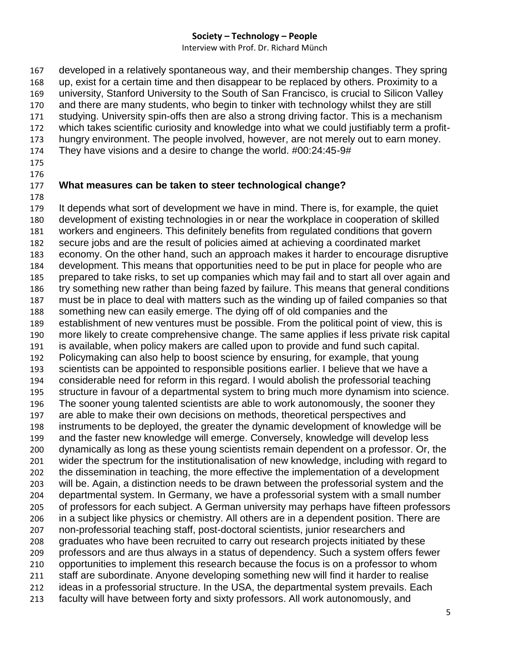Interview with Prof. Dr. Richard Münch

 developed in a relatively spontaneous way, and their membership changes. They spring up, exist for a certain time and then disappear to be replaced by others. Proximity to a university, Stanford University to the South of San Francisco, is crucial to Silicon Valley and there are many students, who begin to tinker with technology whilst they are still studying. University spin-offs then are also a strong driving factor. This is a mechanism which takes scientific curiosity and knowledge into what we could justifiably term a profit- hungry environment. The people involved, however, are not merely out to earn money. They have visions and a desire to change the world. #00:24:45-9# 

- 
- **What measures can be taken to steer technological change?**

 It depends what sort of development we have in mind. There is, for example, the quiet development of existing technologies in or near the workplace in cooperation of skilled workers and engineers. This definitely benefits from regulated conditions that govern secure jobs and are the result of policies aimed at achieving a coordinated market economy. On the other hand, such an approach makes it harder to encourage disruptive development. This means that opportunities need to be put in place for people who are prepared to take risks, to set up companies which may fail and to start all over again and try something new rather than being fazed by failure. This means that general conditions must be in place to deal with matters such as the winding up of failed companies so that something new can easily emerge. The dying off of old companies and the establishment of new ventures must be possible. From the political point of view, this is more likely to create comprehensive change. The same applies if less private risk capital is available, when policy makers are called upon to provide and fund such capital. Policymaking can also help to boost science by ensuring, for example, that young scientists can be appointed to responsible positions earlier. I believe that we have a considerable need for reform in this regard. I would abolish the professorial teaching structure in favour of a departmental system to bring much more dynamism into science. The sooner young talented scientists are able to work autonomously, the sooner they are able to make their own decisions on methods, theoretical perspectives and instruments to be deployed, the greater the dynamic development of knowledge will be and the faster new knowledge will emerge. Conversely, knowledge will develop less dynamically as long as these young scientists remain dependent on a professor. Or, the wider the spectrum for the institutionalisation of new knowledge, including with regard to the dissemination in teaching, the more effective the implementation of a development will be. Again, a distinction needs to be drawn between the professorial system and the departmental system. In Germany, we have a professorial system with a small number of professors for each subject. A German university may perhaps have fifteen professors in a subject like physics or chemistry. All others are in a dependent position. There are non-professorial teaching staff, post-doctoral scientists, junior researchers and graduates who have been recruited to carry out research projects initiated by these professors and are thus always in a status of dependency. Such a system offers fewer opportunities to implement this research because the focus is on a professor to whom staff are subordinate. Anyone developing something new will find it harder to realise ideas in a professorial structure. In the USA, the departmental system prevails. Each faculty will have between forty and sixty professors. All work autonomously, and